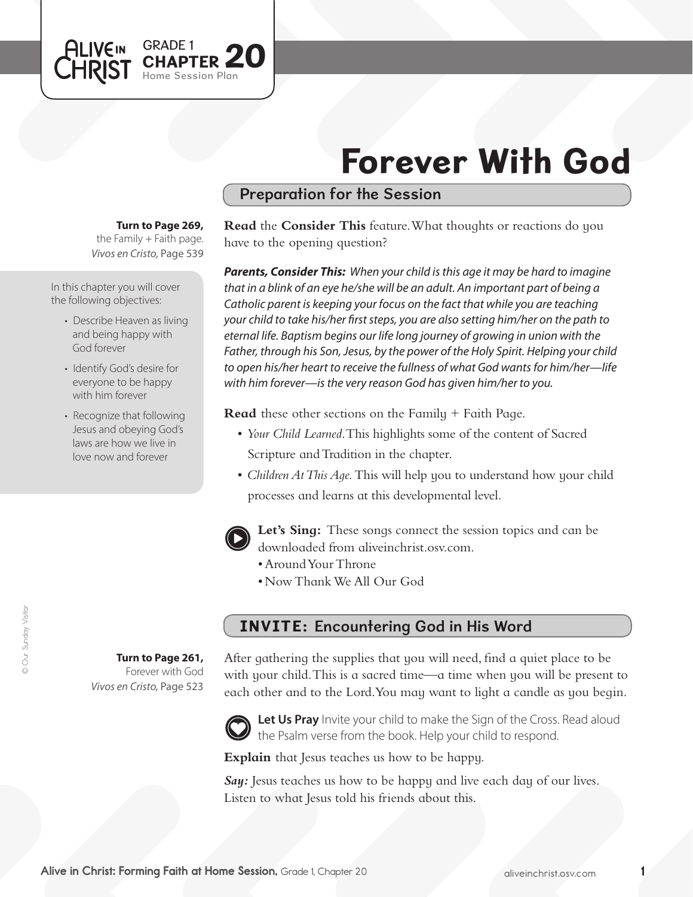# Forever With God

## Preparation for the Session

#### **Turn to Page 269,**

GRADE 1

Home Session Plan

GRADE 1 **20** 

*Vivos en Cristo,* Page 539 the Family  $+$  Faith page.

In this chapter you will cover the following objectives:

**ALIVEIN** 

- Describe Heaven as living and being happy with God forever
- Identify God's desire for everyone to be happy with him forever
- Recognize that following Jesus and obeying God's laws are how we live in love now and forever

**Turn to Page 261,** Forever with God

*Vivos en Cristo,* Page 523

**Read** the **Consider This** feature. What thoughts or reactions do you have to the opening question?

*Parents, Consider This: When your child is this age it may be hard to imagine that in a blink of an eye he/she will be an adult. An important part of being a Catholic parent is keeping your focus on the fact that while you are teaching your child to take his/her first steps, you are also setting him/her on the path to eternal life. Baptism begins our life long journey of growing in union with the Father, through his Son, Jesus, by the power of the Holy Spirit. Helping your child to open his/her heart to receive the fullness of what God wants for him/her—life with him forever—is the very reason God has given him/her to you.*

**Read** these other sections on the Family + Faith Page.

- • *Your Child Learned*. This highlights some of the content of Sacred Scripture and Tradition in the chapter.
- *Children At This Aqe*. This will help you to understand how your child processes and learns at this developmental level.



**Let's Sing:** These songs connect the session topics and can be downloaded from aliveinchrist.osv.com.

- Around Your Throne
- • Now ThankWe All Our God

# INVITE: Encountering God in His Word

After gathering the supplies that you will need, find a quiet place to be with your child. This is a sacred time—a time when you will be present to each other and to the Lord.You may want to light a candle as you begin.



Let Us Pray Invite your child to make the Sign of the Cross. Read aloud the Psalm verse from the book. Help your child to respond.

**Explain** that Jesus teaches us how to be happy.

*Say:* Jesus teaches us how to be happy and live each day of our lives. Listen to what Jesus told his friends about this.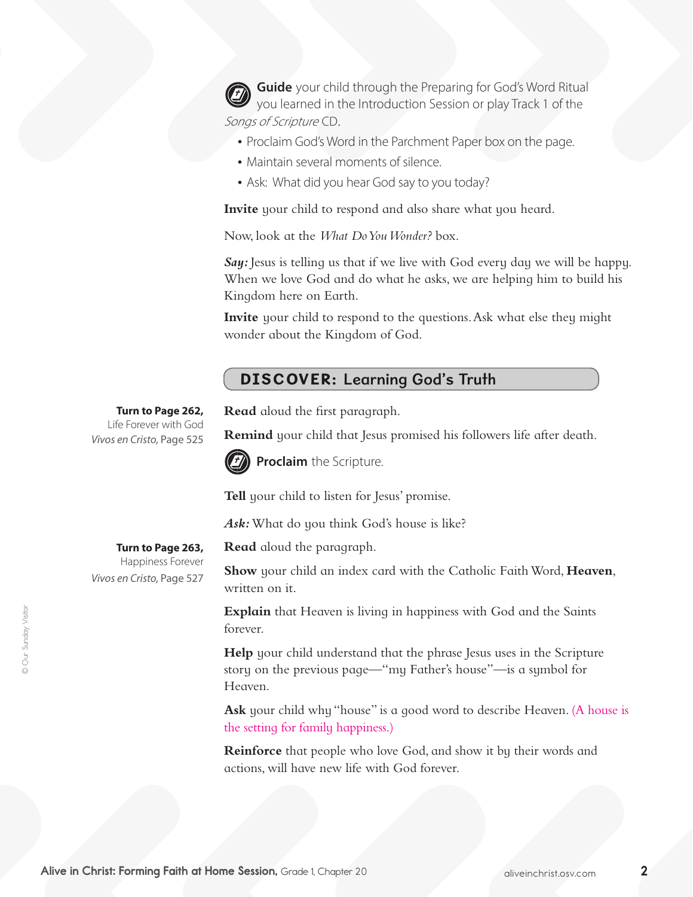**Guide** your child through the Preparing for God's Word Ritual you learned in the Introduction Session or play Track 1 of the Songs of Scripture CD.

- Proclaim God's Word in the Parchment Paper box on the page.
- Maintain several moments of silence.
- Ask: What did you hear God say to you today?

**Invite** your child to respond and also share what you heard.

Now, look at the *What Do You Wonder?* box.

Say: Jesus is telling us that if we live with God every day we will be happy. When we love God and do what he asks, we are helping him to build his Kingdom here on Earth.

**Invite** your child to respond to the questions. Ask what else they might wonder about the Kingdom of God.

### DISCOVER: Learning God's Truth

**Read** aloud the first paragraph.

**Remind** your child that Jesus promised his followers life after death.



**Proclaim** the Scripture.

**Tell** your child to listen for Jesus' promise.

*Ask:*What do you think God's house is like?

**Read** aloud the paragraph.

**Show** your child an index card with the Catholic Faith Word, Heaven, written on it.

**Explain** that Heaven is living in happiness with God and the Saints forever.

**Help** your child understand that the phrase Jesus uses in the Scripture story on the previous page—"my Father's house"—is a symbol for Heaven.

Ask your child why "house" is a good word to describe Heaven. (A house is the setting for family happiness.)

**Reinforce** that people who love God, and show it by their words and actions, will have new life with God forever.

**Turn to Page 262,** Life Forever with God *Vivos en Cristo,* Page 525

> **Turn to Page 263,**  Happiness Forever

*Vivos en Cristo,* Page 527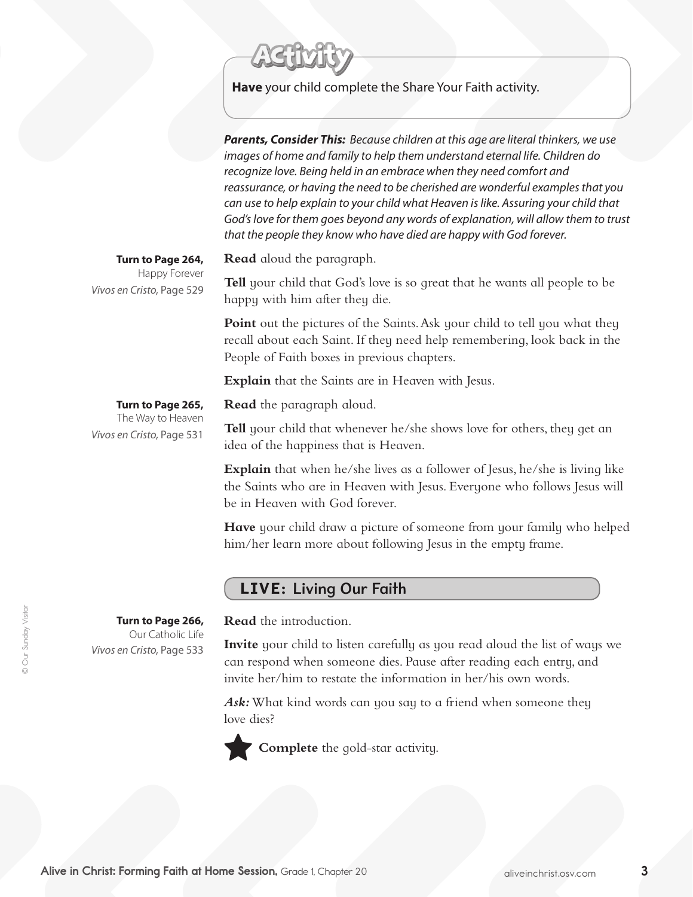

**Have** your child complete the Share Your Faith activity.

*Parents, Consider This: Because children at this age are literal thinkers, we use images of home and family to help them understand eternal life. Children do recognize love. Being held in an embrace when they need comfort and reassurance, or having the need to be cherished are wonderful examples that you can use to help explain to your child what Heaven is like. Assuring your child that God's love for them goes beyond any words of explanation, will allow them to trust that the people they know who have died are happy with God forever.* 

**Turn to Page 264,**

Happy Forever *Vivos en Cristo,* Page 529 **Read** aloud the paragraph.

**Tell** your child that God's love is so great that he wants all people to be happy with him after they die.

Point out the pictures of the Saints. Ask your child to tell you what they recall about each Saint. If they need help remembering, look back in the People of Faith boxes in previous chapters.

**Explain** that the Saints are in Heaven with Jesus.

**Turn to Page 265,**

**Turn to Page 266,**  Our Catholic Life

*Vivos en Cristo,* Page 533

The Way to Heaven *Vivos en Cristo,* Page 531

**Read** the paragraph aloud.

**Tell** your child that whenever he/she shows love for others, they get an idea of the happiness that is Heaven.

**Explain** that when he/she lives as a follower of Jesus, he/she is living like the Saints who are in Heaven with Jesus. Everyone who follows Jesus will be in Heaven with God forever.

**Have** your child draw a picture of someone from your family who helped him/her learn more about following Jesus in the empty frame.

# LIVE: Living Our Faith

**Read** the introduction.

**Invite** your child to listen carefully as you read aloud the list of ways we can respond when someone dies. Pause after reading each entry, and invite her/him to restate the information in her/his own words.

*Ask:*What kind words can you say to a friend when someone they love dies?



**Complete** the gold-star activity.